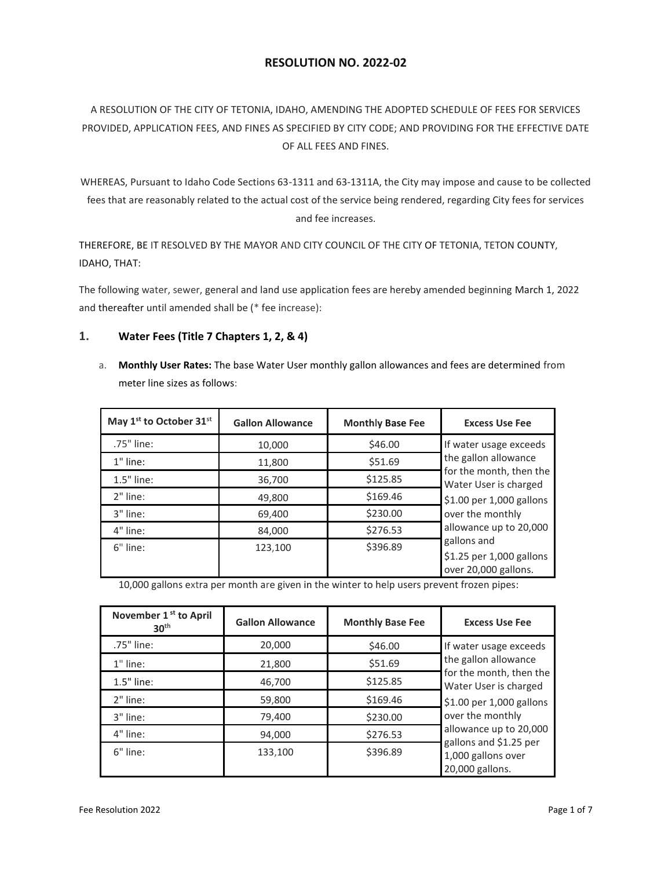# **RESOLUTION NO. 2022-02**

# A RESOLUTION OF THE CITY OF TETONIA, IDAHO, AMENDING THE ADOPTED SCHEDULE OF FEES FOR SERVICES PROVIDED, APPLICATION FEES, AND FINES AS SPECIFIED BY CITY CODE; AND PROVIDING FOR THE EFFECTIVE DATE OF ALL FEES AND FINES.

WHEREAS, Pursuant to Idaho Code Sections 63-1311 and 63-1311A, the City may impose and cause to be collected fees that are reasonably related to the actual cost of the service being rendered, regarding City fees for services and fee increases.

THEREFORE, BE IT RESOLVED BY THE MAYOR AND CITY COUNCIL OF THE CITY OF TETONIA, TETON COUNTY, IDAHO, THAT:

The following water, sewer, general and land use application fees are hereby amended beginning March 1, 2022 and thereafter until amended shall be (\* fee increase):

## **1. Water Fees (Title 7 Chapters 1, 2, & 4)**

a. **Monthly User Rates:** The base Water User monthly gallon allowances and fees are determined from meter line sizes as follows:

| May 1 <sup>st</sup> to October 31 <sup>st</sup> | <b>Gallon Allowance</b> | <b>Monthly Base Fee</b> | <b>Excess Use Fee</b>                                           |
|-------------------------------------------------|-------------------------|-------------------------|-----------------------------------------------------------------|
| .75" line:                                      | 10,000                  | \$46.00                 | If water usage exceeds                                          |
| $1"$ line:                                      | 11,800                  | \$51.69                 | the gallon allowance                                            |
| 1.5" line:                                      | 36,700                  | \$125.85                | for the month, then the<br>Water User is charged                |
| $2"$ line:                                      | 49,800                  | \$169.46                | \$1.00 per 1,000 gallons                                        |
| 3" line:                                        | 69,400                  | \$230.00                | over the monthly                                                |
| 4" line:                                        | 84,000                  | \$276.53                | allowance up to 20,000                                          |
| $6"$ line:                                      | 123.100                 | \$396.89                | gallons and<br>\$1.25 per 1,000 gallons<br>over 20,000 gallons. |

10,000 gallons extra per month are given in the winter to help users prevent frozen pipes:

| November 1 <sup>st</sup> to April<br>30 <sup>th</sup> | <b>Gallon Allowance</b> | <b>Monthly Base Fee</b> | <b>Excess Use Fee</b>                            |
|-------------------------------------------------------|-------------------------|-------------------------|--------------------------------------------------|
| .75" line:                                            | 20,000                  | \$46.00                 | If water usage exceeds                           |
| $1"$ line:                                            | 21,800                  | \$51.69                 | the gallon allowance                             |
| $1.5"$ line:                                          | 46,700                  | \$125.85                | for the month, then the<br>Water User is charged |
| 2" line:                                              | 59,800                  | \$169.46                | \$1.00 per 1,000 gallons                         |
| 3" line:                                              | 79,400                  | \$230.00                | over the monthly                                 |
| 4" line:                                              | 94,000                  | \$276.53                | allowance up to 20,000<br>gallons and \$1.25 per |
| 6" line:                                              | 133,100                 | \$396.89                | 1,000 gallons over<br>20,000 gallons.            |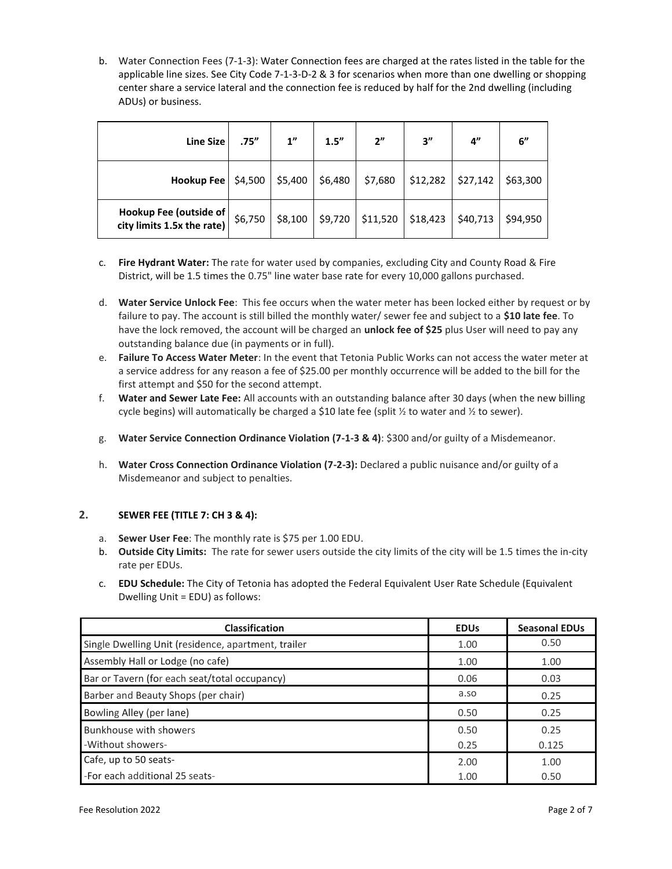b. Water Connection Fees (7-1-3): Water Connection fees are charged at the rates listed in the table for the applicable line sizes. See City Code 7-1-3-D-2 & 3 for scenarios when more than one dwelling or shopping center share a service lateral and the connection fee is reduced by half for the 2nd dwelling (including ADUs) or business.

| <b>Line Size</b>                                     | .75''   | 1"      | 1.5''   | 2"                                          | 3''      | 4"       | 6"       |
|------------------------------------------------------|---------|---------|---------|---------------------------------------------|----------|----------|----------|
| Hookup Fee                                           | \$4,500 | \$5,400 | \$6,480 | \$7,680                                     | \$12,282 | \$27,142 | \$63,300 |
| Hookup Fee (outside of<br>city limits 1.5x the rate) | \$6,750 | \$8,100 |         | $\frac{1}{2}$ \$9,720   \$11,520   \$18,423 |          | \$40,713 | \$94.950 |

- c. **Fire Hydrant Water:** The rate for water used by companies, excluding City and County Road & Fire District, will be 1.5 times the 0.75" line water base rate for every 10,000 gallons purchased.
- d. **Water Service Unlock Fee**: This fee occurs when the water meter has been locked either by request or by failure to pay. The account is still billed the monthly water/ sewer fee and subject to a **\$10 late fee**. To have the lock removed, the account will be charged an **unlock fee of \$25** plus User will need to pay any outstanding balance due (in payments or in full).
- e. **Failure To Access Water Meter**: In the event that Tetonia Public Works can not access the water meter at a service address for any reason a fee of \$25.00 per monthly occurrence will be added to the bill for the first attempt and \$50 for the second attempt.
- f. **Water and Sewer Late Fee:** All accounts with an outstanding balance after 30 days (when the new billing cycle begins) will automatically be charged a \$10 late fee (split  $\frac{1}{2}$  to water and  $\frac{1}{2}$  to sewer).
- g. **Water Service Connection Ordinance Violation (7-1-3 & 4)**: \$300 and/or guilty of a Misdemeanor.
- h. **Water Cross Connection Ordinance Violation (7-2-3):** Declared a public nuisance and/or guilty of a Misdemeanor and subject to penalties.

## **2. SEWER FEE (TITLE 7: CH 3 & 4):**

- a. **Sewer User Fee**: The monthly rate is \$75 per 1.00 EDU.
- b. **Outside City Limits:** The rate for sewer users outside the city limits of the city will be 1.5 times the in-city rate per EDUs.
- c. **EDU Schedule:** The City of Tetonia has adopted the Federal Equivalent User Rate Schedule (Equivalent Dwelling Unit = EDU) as follows:

| <b>Classification</b>                               | <b>EDUs</b> | <b>Seasonal EDUs</b> |
|-----------------------------------------------------|-------------|----------------------|
| Single Dwelling Unit (residence, apartment, trailer | 1.00        | 0.50                 |
| Assembly Hall or Lodge (no cafe)                    | 1.00        | 1.00                 |
| Bar or Tavern (for each seat/total occupancy)       | 0.06        | 0.03                 |
| Barber and Beauty Shops (per chair)                 | a.so        | 0.25                 |
| Bowling Alley (per lane)                            | 0.50        | 0.25                 |
| Bunkhouse with showers                              | 0.50        | 0.25                 |
| -Without showers-                                   | 0.25        | 0.125                |
| Cafe, up to 50 seats-                               | 2.00        | 1.00                 |
| -For each additional 25 seats-                      | 1.00        | 0.50                 |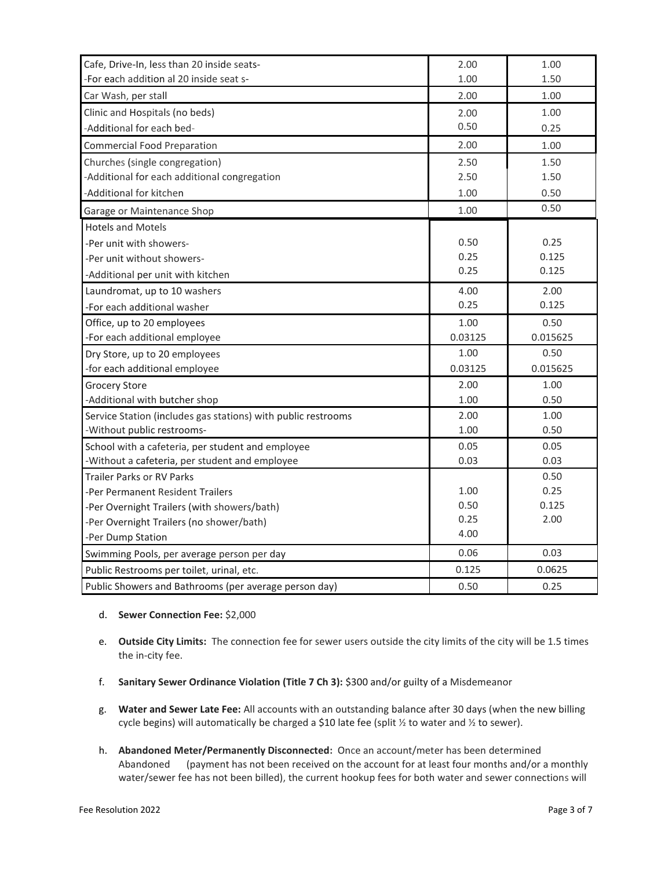| Cafe, Drive-In, less than 20 inside seats-                    | 2.00    | 1.00     |
|---------------------------------------------------------------|---------|----------|
| -For each addition al 20 inside seat s-                       | 1.00    | 1.50     |
| Car Wash, per stall                                           | 2.00    | 1.00     |
| Clinic and Hospitals (no beds)                                | 2.00    | 1.00     |
| -Additional for each bed-                                     | 0.50    | 0.25     |
| <b>Commercial Food Preparation</b>                            | 2.00    | 1.00     |
| Churches (single congregation)                                | 2.50    | 1.50     |
| -Additional for each additional congregation                  | 2.50    | 1.50     |
| -Additional for kitchen                                       | 1.00    | 0.50     |
| Garage or Maintenance Shop                                    | 1.00    | 0.50     |
| <b>Hotels and Motels</b>                                      |         |          |
| -Per unit with showers-                                       | 0.50    | 0.25     |
| -Per unit without showers-                                    | 0.25    | 0.125    |
| -Additional per unit with kitchen                             | 0.25    | 0.125    |
| Laundromat, up to 10 washers                                  | 4.00    | 2.00     |
| -For each additional washer                                   | 0.25    | 0.125    |
| Office, up to 20 employees                                    | 1.00    | 0.50     |
| -For each additional employee                                 | 0.03125 | 0.015625 |
| Dry Store, up to 20 employees                                 | 1.00    | 0.50     |
| -for each additional employee                                 | 0.03125 | 0.015625 |
| <b>Grocery Store</b>                                          | 2.00    | 1.00     |
| -Additional with butcher shop                                 | 1.00    | 0.50     |
| Service Station (includes gas stations) with public restrooms | 2.00    | 1.00     |
| -Without public restrooms-                                    | 1.00    | 0.50     |
| School with a cafeteria, per student and employee             | 0.05    | 0.05     |
| -Without a cafeteria, per student and employee                | 0.03    | 0.03     |
| <b>Trailer Parks or RV Parks</b>                              |         | 0.50     |
| -Per Permanent Resident Trailers                              | 1.00    | 0.25     |
| -Per Overnight Trailers (with showers/bath)                   | 0.50    | 0.125    |
| -Per Overnight Trailers (no shower/bath)                      | 0.25    | 2.00     |
|                                                               |         |          |
| -Per Dump Station                                             | 4.00    |          |
| Swimming Pools, per average person per day                    | 0.06    | 0.03     |
| Public Restrooms per toilet, urinal, etc.                     | 0.125   | 0.0625   |

#### d. **Sewer Connection Fee:** \$2,000

- e. **Outside City Limits:** The connection fee for sewer users outside the city limits of the city will be 1.5 times the in-city fee.
- f. **Sanitary Sewer Ordinance Violation (Title 7 Ch 3):** \$300 and/or guilty of a Misdemeanor
- g. **Water and Sewer Late Fee:** All accounts with an outstanding balance after 30 days (when the new billing cycle begins) will automatically be charged a \$10 late fee (split  $\frac{1}{2}$  to water and  $\frac{1}{2}$  to sewer).
- h. **Abandoned Meter/Permanently Disconnected:** Once an account/meter has been determined Abandoned (payment has not been received on the account for at least four months and/or a monthly water/sewer fee has not been billed), the current hookup fees for both water and sewer connections will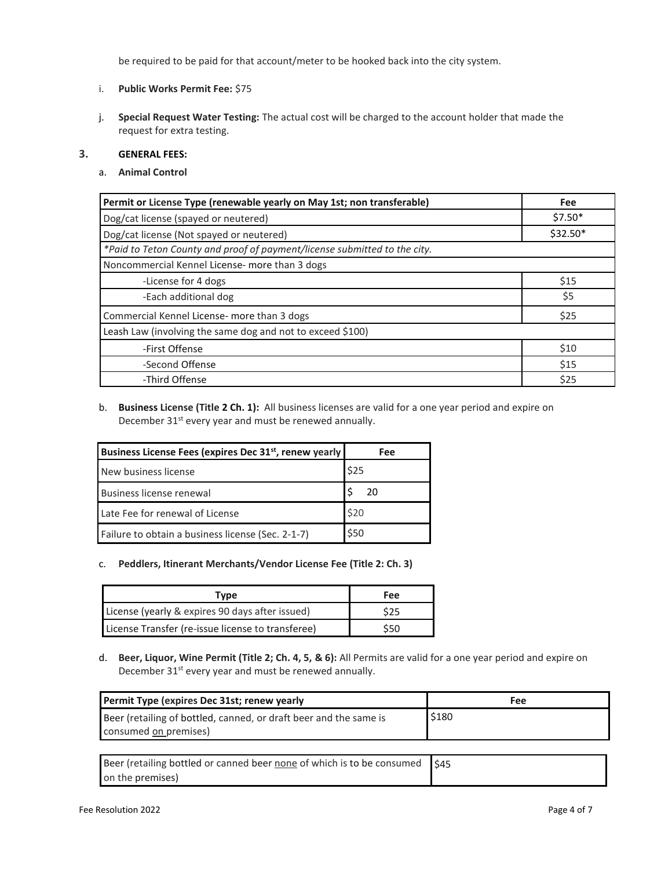be required to be paid for that account/meter to be hooked back into the city system.

- i. **Public Works Permit Fee:** \$75
- j. **Special Request Water Testing:** The actual cost will be charged to the account holder that made the request for extra testing.

#### **3. GENERAL FEES:**

a. **Animal Control**

| Permit or License Type (renewable yearly on May 1st; non transferable)    | Fee       |
|---------------------------------------------------------------------------|-----------|
| Dog/cat license (spayed or neutered)                                      | $$7.50*$  |
| Dog/cat license (Not spayed or neutered)                                  | $$32.50*$ |
| *Paid to Teton County and proof of payment/license submitted to the city. |           |
| Noncommercial Kennel License- more than 3 dogs                            |           |
| -License for 4 dogs                                                       | \$15      |
| -Each additional dog                                                      | \$5       |
| Commercial Kennel License- more than 3 dogs                               | \$25      |
| Leash Law (involving the same dog and not to exceed \$100)                |           |
| -First Offense                                                            | \$10      |
| -Second Offense                                                           | \$15      |
| -Third Offense                                                            | \$25      |

b. **Business License (Title 2 Ch. 1):** All business licenses are valid for a one year period and expire on December 31<sup>st</sup> every year and must be renewed annually.

| Business License Fees (expires Dec 31st, renew yearly | Fee  |
|-------------------------------------------------------|------|
| New business license                                  | \$25 |
| Business license renewal                              | 20   |
| Late Fee for renewal of License                       | \$20 |
| Failure to obtain a business license (Sec. 2-1-7)     | \$50 |

c. **Peddlers, Itinerant Merchants/Vendor License Fee (Title 2: Ch. 3)**

| Type                                              | <b>Fee</b> |
|---------------------------------------------------|------------|
| License (yearly & expires 90 days after issued)   | \$25       |
| License Transfer (re-issue license to transferee) | \$50       |

d. **Beer, Liquor, Wine Permit (Title 2; Ch. 4, 5, & 6):** All Permits are valid for a one year period and expire on December 31<sup>st</sup> every year and must be renewed annually.

| Permit Type (expires Dec 31st; renew yearly                                                | Fee   |
|--------------------------------------------------------------------------------------------|-------|
| Beer (retailing of bottled, canned, or draft beer and the same is<br>consumed on premises) | \$180 |
|                                                                                            |       |
| Beer (retailing bottled or canned beer none of which is to be consumed<br>on the premises) | 545   |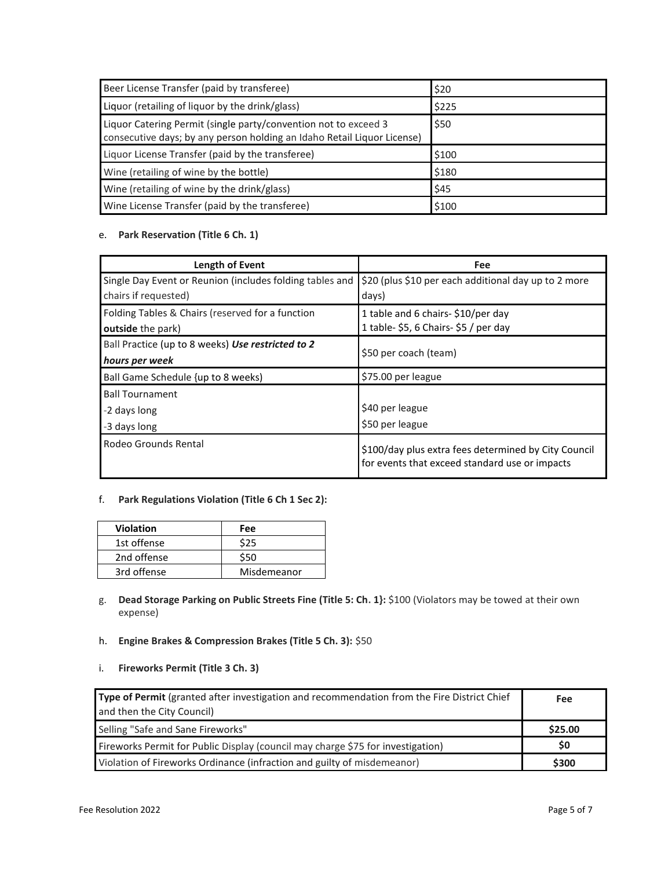| Beer License Transfer (paid by transferee)                                                                                                 | \$20  |
|--------------------------------------------------------------------------------------------------------------------------------------------|-------|
| Liquor (retailing of liquor by the drink/glass)                                                                                            | \$225 |
| Liquor Catering Permit (single party/convention not to exceed 3<br>consecutive days; by any person holding an Idaho Retail Liquor License) | \$50  |
| Liquor License Transfer (paid by the transferee)                                                                                           | \$100 |
| Wine (retailing of wine by the bottle)                                                                                                     | \$180 |
| Wine (retailing of wine by the drink/glass)                                                                                                | \$45  |
| Wine License Transfer (paid by the transferee)                                                                                             | \$100 |

# e. **Park Reservation (Title 6 Ch. 1)**

| Length of Event                                          | Fee                                                                                                    |
|----------------------------------------------------------|--------------------------------------------------------------------------------------------------------|
| Single Day Event or Reunion (includes folding tables and | \$20 (plus \$10 per each additional day up to 2 more                                                   |
| chairs if requested)                                     | days)                                                                                                  |
| Folding Tables & Chairs (reserved for a function         | 1 table and 6 chairs- \$10/per day                                                                     |
| outside the park)                                        | 1 table- \$5, 6 Chairs- \$5 / per day                                                                  |
| Ball Practice (up to 8 weeks) Use restricted to 2        |                                                                                                        |
| hours per week                                           | \$50 per coach (team)                                                                                  |
| Ball Game Schedule {up to 8 weeks)                       | \$75.00 per league                                                                                     |
| <b>Ball Tournament</b>                                   |                                                                                                        |
| -2 days long                                             | \$40 per league                                                                                        |
| -3 days long                                             | \$50 per league                                                                                        |
| Rodeo Grounds Rental                                     | \$100/day plus extra fees determined by City Council<br>for events that exceed standard use or impacts |

### f. **Park Regulations Violation (Title 6 Ch 1 Sec 2):**

| <b>Violation</b> | Fee         |
|------------------|-------------|
| 1st offense      | \$25        |
| 2nd offense      | \$50        |
| 3rd offense      | Misdemeanor |

- g. **Dead Storage Parking on Public Streets Fine (Title 5: Ch. 1}:** \$100 (Violators may be towed at their own expense)
- h. **Engine Brakes & Compression Brakes (Title 5 Ch. 3):** \$50
- i. **Fireworks Permit (Title 3 Ch. 3)**

| Type of Permit (granted after investigation and recommendation from the Fire District Chief | Fee     |
|---------------------------------------------------------------------------------------------|---------|
| and then the City Council)                                                                  |         |
| Selling "Safe and Sane Fireworks"                                                           | \$25.00 |
| Fireworks Permit for Public Display (council may charge \$75 for investigation)             | \$0     |
| Violation of Fireworks Ordinance (infraction and guilty of misdemeanor)                     | \$300   |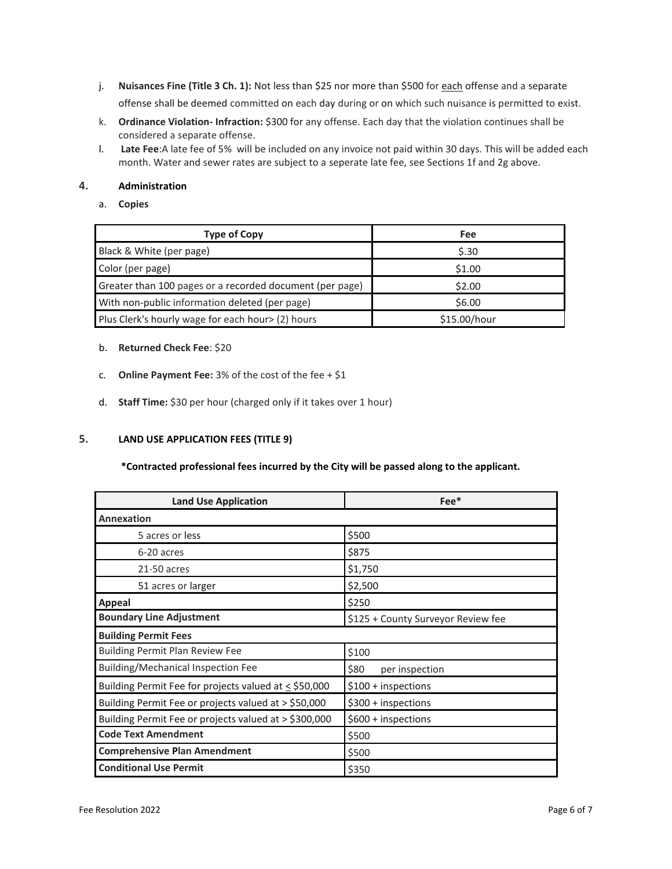- j. **Nuisances Fine (Title 3 Ch. 1):** Not less than \$25 nor more than \$500 for each offense and a separate offense shall be deemed committed on each day during or on which such nuisance is permitted to exist.
- k. **Ordinance Violation- Infraction:** \$300 for any offense. Each day that the violation continues shall be considered a separate offense.
- l. **Late Fee**:A late fee of 5% will be included on any invoice not paid within 30 days. This will be added each month. Water and sewer rates are subject to a seperate late fee, see Sections 1f and 2g above.

### **4. Administration**

#### a. **Copies**

| <b>Type of Copy</b>                                      | Fee          |
|----------------------------------------------------------|--------------|
| Black & White (per page)                                 | \$.30        |
| Color (per page)                                         | \$1.00       |
| Greater than 100 pages or a recorded document (per page) | \$2.00       |
| With non-public information deleted (per page)           | \$6.00       |
| Plus Clerk's hourly wage for each hour> (2) hours        | \$15.00/hour |

#### b. **Returned Check Fee**: \$20

- c. **Online Payment Fee:** 3% of the cost of the fee + \$1
- d. **Staff Time:** \$30 per hour (charged only if it takes over 1 hour)

## **5. LAND USE APPLICATION FEES (TITLE 9)**

#### **\*Contracted professional fees incurred by the City will be passed along to the applicant.**

| <b>Land Use Application</b>                           | $Fee*$                             |  |
|-------------------------------------------------------|------------------------------------|--|
| <b>Annexation</b>                                     |                                    |  |
| 5 acres or less                                       | \$500                              |  |
| 6-20 acres                                            | \$875                              |  |
| 21-50 acres                                           | \$1,750                            |  |
| 51 acres or larger                                    | \$2,500                            |  |
| Appeal                                                | \$250                              |  |
| <b>Boundary Line Adjustment</b>                       | \$125 + County Surveyor Review fee |  |
| <b>Building Permit Fees</b>                           |                                    |  |
| <b>Building Permit Plan Review Fee</b>                | \$100                              |  |
| <b>Building/Mechanical Inspection Fee</b>             | \$80<br>per inspection             |  |
| Building Permit Fee for projects valued at < \$50,000 | $$100 +$ inspections               |  |
| Building Permit Fee or projects valued at > \$50,000  | $$300 +$ inspections               |  |
| Building Permit Fee or projects valued at > \$300,000 | $$600 +$ inspections               |  |
| <b>Code Text Amendment</b>                            | \$500                              |  |
| <b>Comprehensive Plan Amendment</b>                   | \$500                              |  |
| <b>Conditional Use Permit</b>                         | \$350                              |  |